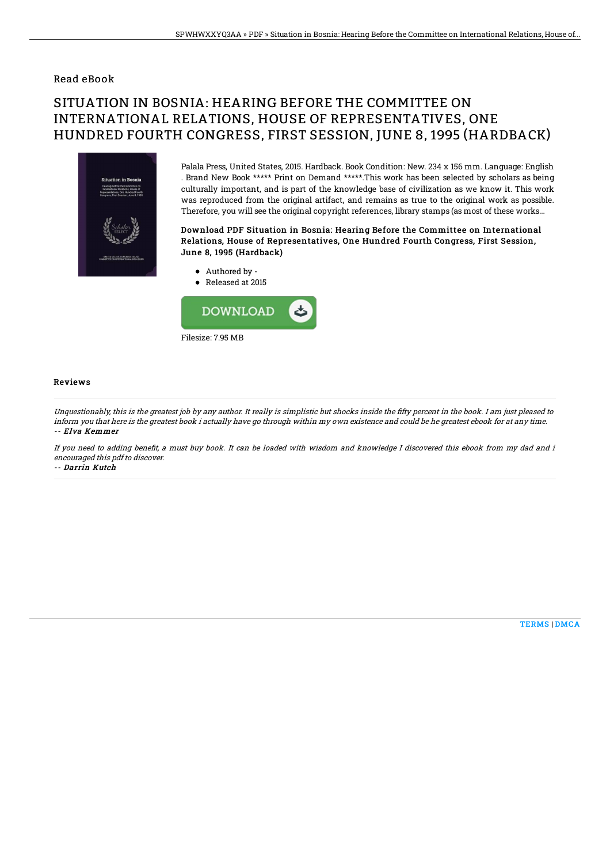### Read eBook

# SITUATION IN BOSNIA: HEARING BEFORE THE COMMITTEE ON INTERNATIONAL RELATIONS, HOUSE OF REPRESENTATIVES, ONE HUNDRED FOURTH CONGRESS, FIRST SESSION, JUNE 8, 1995 (HARDBACK)



Palala Press, United States, 2015. Hardback. Book Condition: New. 234 x 156 mm. Language: English . Brand New Book \*\*\*\*\* Print on Demand \*\*\*\*\*.This work has been selected by scholars as being culturally important, and is part of the knowledge base of civilization as we know it. This work was reproduced from the original artifact, and remains as true to the original work as possible. Therefore, you will see the original copyright references, library stamps (as most of these works...

#### Download PDF Situation in Bosnia: Hearing Before the Committee on International Relations, House of Representatives, One Hundred Fourth Congress, First Session, June 8, 1995 (Hardback)

- Authored by -
- Released at 2015



#### Reviews

Unquestionably, this is the greatest job by any author. It really is simplistic but shocks inside the fifty percent in the book. I am just pleased to inform you that here is the greatest book i actually have go through within my own existence and could be he greatest ebook for at any time. -- Elva Kemmer

If you need to adding benefit, a must buy book. It can be loaded with wisdom and knowledge I discovered this ebook from my dad and i encouraged this pdf to discover.

-- Darrin Kutch